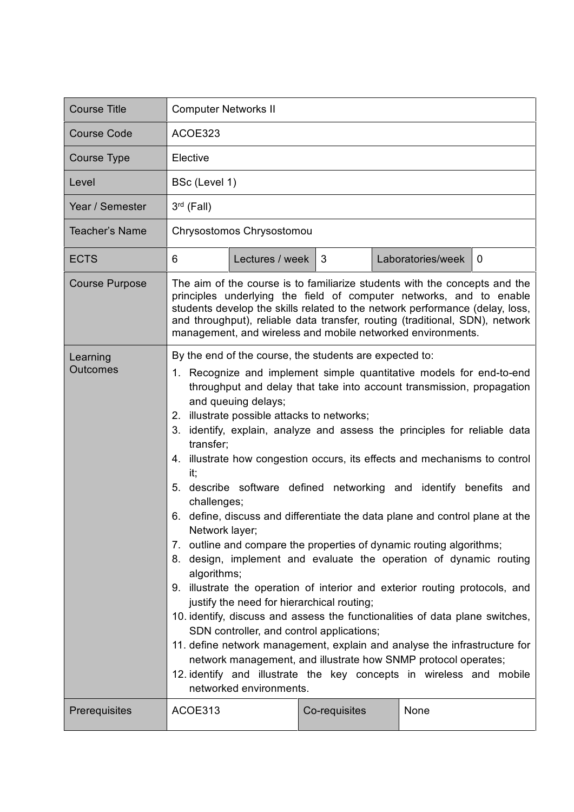| <b>Course Title</b>         | <b>Computer Networks II</b>                                                                                                                                                                                                                                                                                                                                                                                                                                                                                                                                                                                                                                                                                                                                                                                                                                                                                                                                                                                                                                                                                                                                                                                                                                                                                                    |                 |               |  |                   |             |  |  |  |  |
|-----------------------------|--------------------------------------------------------------------------------------------------------------------------------------------------------------------------------------------------------------------------------------------------------------------------------------------------------------------------------------------------------------------------------------------------------------------------------------------------------------------------------------------------------------------------------------------------------------------------------------------------------------------------------------------------------------------------------------------------------------------------------------------------------------------------------------------------------------------------------------------------------------------------------------------------------------------------------------------------------------------------------------------------------------------------------------------------------------------------------------------------------------------------------------------------------------------------------------------------------------------------------------------------------------------------------------------------------------------------------|-----------------|---------------|--|-------------------|-------------|--|--|--|--|
| <b>Course Code</b>          | ACOE323                                                                                                                                                                                                                                                                                                                                                                                                                                                                                                                                                                                                                                                                                                                                                                                                                                                                                                                                                                                                                                                                                                                                                                                                                                                                                                                        |                 |               |  |                   |             |  |  |  |  |
| Course Type                 | Elective                                                                                                                                                                                                                                                                                                                                                                                                                                                                                                                                                                                                                                                                                                                                                                                                                                                                                                                                                                                                                                                                                                                                                                                                                                                                                                                       |                 |               |  |                   |             |  |  |  |  |
| Level                       |                                                                                                                                                                                                                                                                                                                                                                                                                                                                                                                                                                                                                                                                                                                                                                                                                                                                                                                                                                                                                                                                                                                                                                                                                                                                                                                                | BSc (Level 1)   |               |  |                   |             |  |  |  |  |
| Year / Semester             | $3rd$ (Fall)                                                                                                                                                                                                                                                                                                                                                                                                                                                                                                                                                                                                                                                                                                                                                                                                                                                                                                                                                                                                                                                                                                                                                                                                                                                                                                                   |                 |               |  |                   |             |  |  |  |  |
| <b>Teacher's Name</b>       | Chrysostomos Chrysostomou                                                                                                                                                                                                                                                                                                                                                                                                                                                                                                                                                                                                                                                                                                                                                                                                                                                                                                                                                                                                                                                                                                                                                                                                                                                                                                      |                 |               |  |                   |             |  |  |  |  |
| <b>ECTS</b>                 | 6                                                                                                                                                                                                                                                                                                                                                                                                                                                                                                                                                                                                                                                                                                                                                                                                                                                                                                                                                                                                                                                                                                                                                                                                                                                                                                                              | Lectures / week | 3             |  | Laboratories/week | $\mathbf 0$ |  |  |  |  |
| <b>Course Purpose</b>       | The aim of the course is to familiarize students with the concepts and the<br>principles underlying the field of computer networks, and to enable<br>students develop the skills related to the network performance (delay, loss,<br>and throughput), reliable data transfer, routing (traditional, SDN), network<br>management, and wireless and mobile networked environments.                                                                                                                                                                                                                                                                                                                                                                                                                                                                                                                                                                                                                                                                                                                                                                                                                                                                                                                                               |                 |               |  |                   |             |  |  |  |  |
| Learning<br><b>Outcomes</b> | By the end of the course, the students are expected to:<br>1. Recognize and implement simple quantitative models for end-to-end<br>throughput and delay that take into account transmission, propagation<br>and queuing delays;<br>illustrate possible attacks to networks;<br>2.<br>3. identify, explain, analyze and assess the principles for reliable data<br>transfer;<br>4. illustrate how congestion occurs, its effects and mechanisms to control<br>it:<br>5. describe software defined networking and identify benefits and<br>challenges;<br>6. define, discuss and differentiate the data plane and control plane at the<br>Network layer;<br>7. outline and compare the properties of dynamic routing algorithms;<br>8. design, implement and evaluate the operation of dynamic routing<br>algorithms;<br>9. illustrate the operation of interior and exterior routing protocols, and<br>justify the need for hierarchical routing;<br>10. identify, discuss and assess the functionalities of data plane switches,<br>SDN controller, and control applications;<br>11. define network management, explain and analyse the infrastructure for<br>network management, and illustrate how SNMP protocol operates;<br>12. identify and illustrate the key concepts in wireless and mobile<br>networked environments. |                 |               |  |                   |             |  |  |  |  |
| Prerequisites               | ACOE313                                                                                                                                                                                                                                                                                                                                                                                                                                                                                                                                                                                                                                                                                                                                                                                                                                                                                                                                                                                                                                                                                                                                                                                                                                                                                                                        |                 | Co-requisites |  | None              |             |  |  |  |  |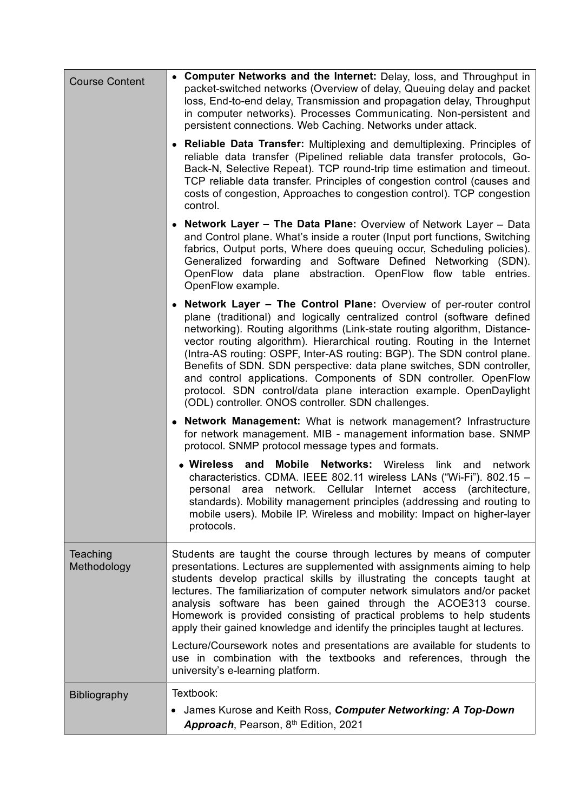| <b>Course Content</b>   | • Computer Networks and the Internet: Delay, loss, and Throughput in<br>packet-switched networks (Overview of delay, Queuing delay and packet<br>loss, End-to-end delay, Transmission and propagation delay, Throughput<br>in computer networks). Processes Communicating. Non-persistent and<br>persistent connections. Web Caching. Networks under attack.                                                                                                                                                                                                                                                                                                     |  |  |  |  |
|-------------------------|------------------------------------------------------------------------------------------------------------------------------------------------------------------------------------------------------------------------------------------------------------------------------------------------------------------------------------------------------------------------------------------------------------------------------------------------------------------------------------------------------------------------------------------------------------------------------------------------------------------------------------------------------------------|--|--|--|--|
|                         | <b>Reliable Data Transfer:</b> Multiplexing and demultiplexing. Principles of<br>reliable data transfer (Pipelined reliable data transfer protocols, Go-<br>Back-N, Selective Repeat). TCP round-trip time estimation and timeout.<br>TCP reliable data transfer. Principles of congestion control (causes and<br>costs of congestion, Approaches to congestion control). TCP congestion<br>control.                                                                                                                                                                                                                                                             |  |  |  |  |
|                         | <b>Network Layer - The Data Plane:</b> Overview of Network Layer - Data<br>and Control plane. What's inside a router (Input port functions, Switching<br>fabrics, Output ports, Where does queuing occur, Scheduling policies).<br>Generalized forwarding and Software Defined Networking (SDN).<br>OpenFlow data plane abstraction. OpenFlow flow table entries.<br>OpenFlow example.                                                                                                                                                                                                                                                                           |  |  |  |  |
|                         | <b>Network Layer – The Control Plane:</b> Overview of per-router control<br>plane (traditional) and logically centralized control (software defined<br>networking). Routing algorithms (Link-state routing algorithm, Distance-<br>vector routing algorithm). Hierarchical routing. Routing in the Internet<br>(Intra-AS routing: OSPF, Inter-AS routing: BGP). The SDN control plane.<br>Benefits of SDN. SDN perspective: data plane switches, SDN controller,<br>and control applications. Components of SDN controller. OpenFlow<br>protocol. SDN control/data plane interaction example. OpenDaylight<br>(ODL) controller. ONOS controller. SDN challenges. |  |  |  |  |
|                         | <b>Network Management:</b> What is network management? Infrastructure<br>for network management. MIB - management information base. SNMP<br>protocol. SNMP protocol message types and formats.                                                                                                                                                                                                                                                                                                                                                                                                                                                                   |  |  |  |  |
|                         | • Wireless and Mobile Networks: Wireless link and<br>network<br>characteristics. CDMA. IEEE 802.11 wireless LANs ("Wi-Fi"). 802.15 -<br>personal area network. Cellular Internet access (architecture,<br>standards). Mobility management principles (addressing and routing to<br>mobile users). Mobile IP. Wireless and mobility: Impact on higher-layer<br>protocols.                                                                                                                                                                                                                                                                                         |  |  |  |  |
| Teaching<br>Methodology | Students are taught the course through lectures by means of computer<br>presentations. Lectures are supplemented with assignments aiming to help<br>students develop practical skills by illustrating the concepts taught at<br>lectures. The familiarization of computer network simulators and/or packet<br>analysis software has been gained through the ACOE313 course.<br>Homework is provided consisting of practical problems to help students<br>apply their gained knowledge and identify the principles taught at lectures.                                                                                                                            |  |  |  |  |
|                         | Lecture/Coursework notes and presentations are available for students to<br>use in combination with the textbooks and references, through the<br>university's e-learning platform.                                                                                                                                                                                                                                                                                                                                                                                                                                                                               |  |  |  |  |
| <b>Bibliography</b>     | Textbook:                                                                                                                                                                                                                                                                                                                                                                                                                                                                                                                                                                                                                                                        |  |  |  |  |
|                         | • James Kurose and Keith Ross, Computer Networking: A Top-Down<br>Approach, Pearson, 8th Edition, 2021                                                                                                                                                                                                                                                                                                                                                                                                                                                                                                                                                           |  |  |  |  |